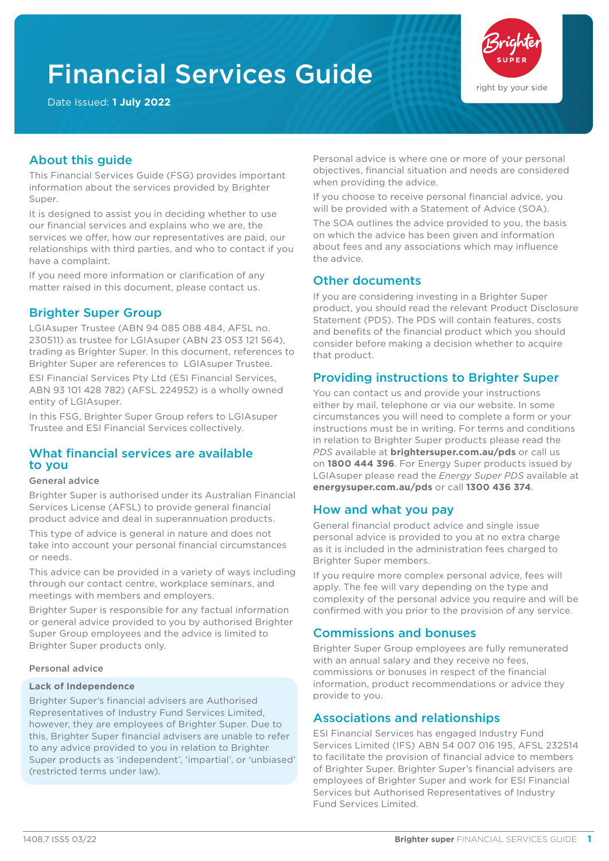# Financial Services Guide

Date Issued: **1 July 2022**



# About this guide

This Financial Services Guide (FSG) provides important information about the services provided by Brighter Super.

It is designed to assist you in deciding whether to use our financial services and explains who we are, the services we offer, how our representatives are paid, our relationships with third parties, and who to contact if you have a complaint.

If you need more information or clarification of any matter raised in this document, please contact us.

## Brighter Super Group

LGIAsuper Trustee (ABN 94 085 088 484, AFSL no. 230511) as trustee for LGIAsuper (ABN 23 053 121 564), trading as Brighter Super. In this document, references to Brighter Super are references to LGIAsuper Trustee.

ESI Financial Services Pty Ltd (ESI Financial Services, ABN 93 101 428 782) (AFSL 224952) is a wholly owned entity of LGIAsuper.

In this FSG, Brighter Super Group refers to LGIAsuper Trustee and ESI Financial Services collectively.

## What financial services are available to you

#### General advice

Brighter Super is authorised under its Australian Financial Services License (AFSL) to provide general financial product advice and deal in superannuation products.

This type of advice is general in nature and does not take into account your personal financial circumstances or needs.

This advice can be provided in a variety of ways including through our contact centre, workplace seminars, and meetings with members and employers.

Brighter Super is responsible for any factual information or general advice provided to you by authorised Brighter Super Group employees and the advice is limited to Brighter Super products only.

#### Personal advice

#### **Lack of Independence**

Brighter Super's financial advisers are Authorised Representatives of Industry Fund Services Limited, however, they are employees of Brighter Super. Due to this, Brighter Super financial advisers are unable to refer to any advice provided to you in relation to Brighter Super products as 'independent', 'impartial', or 'unbiased' (restricted terms under law).

Personal advice is where one or more of your personal objectives, financial situation and needs are considered when providing the advice.

If you choose to receive personal financial advice, you will be provided with a Statement of Advice (SOA).

The SOA outlines the advice provided to you, the basis on which the advice has been given and information about fees and any associations which may influence the advice.

## Other documents

If you are considering investing in a Brighter Super product, you should read the relevant Product Disclosure Statement (PDS). The PDS will contain features, costs and benefits of the financial product which you should consider before making a decision whether to acquire that product.

## Providing instructions to Brighter Super

You can contact us and provide your instructions either by mail, telephone or via our website. In some circumstances you will need to complete a form or your instructions must be in writing. For terms and conditions in relation to Brighter Super products please read the *PDS* available at **brightersuper.com.au/pds** or call us on **1800 444 396**. For Energy Super products issued by LGIAsuper please read the *Energy Super PDS* available at **energysuper.com.au/pds** or call **1300 436 374**.

## How and what you pay

General financial product advice and single issue personal advice is provided to you at no extra charge as it is included in the administration fees charged to Brighter Super members.

If you require more complex personal advice, fees will apply. The fee will vary depending on the type and complexity of the personal advice you require and will be confirmed with you prior to the provision of any service.

## Commissions and bonuses

Brighter Super Group employees are fully remunerated with an annual salary and they receive no fees, commissions or bonuses in respect of the financial information, product recommendations or advice they provide to you.

## Associations and relationships

ESI Financial Services has engaged Industry Fund Services Limited (IFS) ABN 54 007 016 195, AFSL 232514 to facilitate the provision of financial advice to members of Brighter Super. Brighter Super's financial advisers are employees of Brighter Super and work for ESI Financial Services but Authorised Representatives of Industry Fund Services Limited.